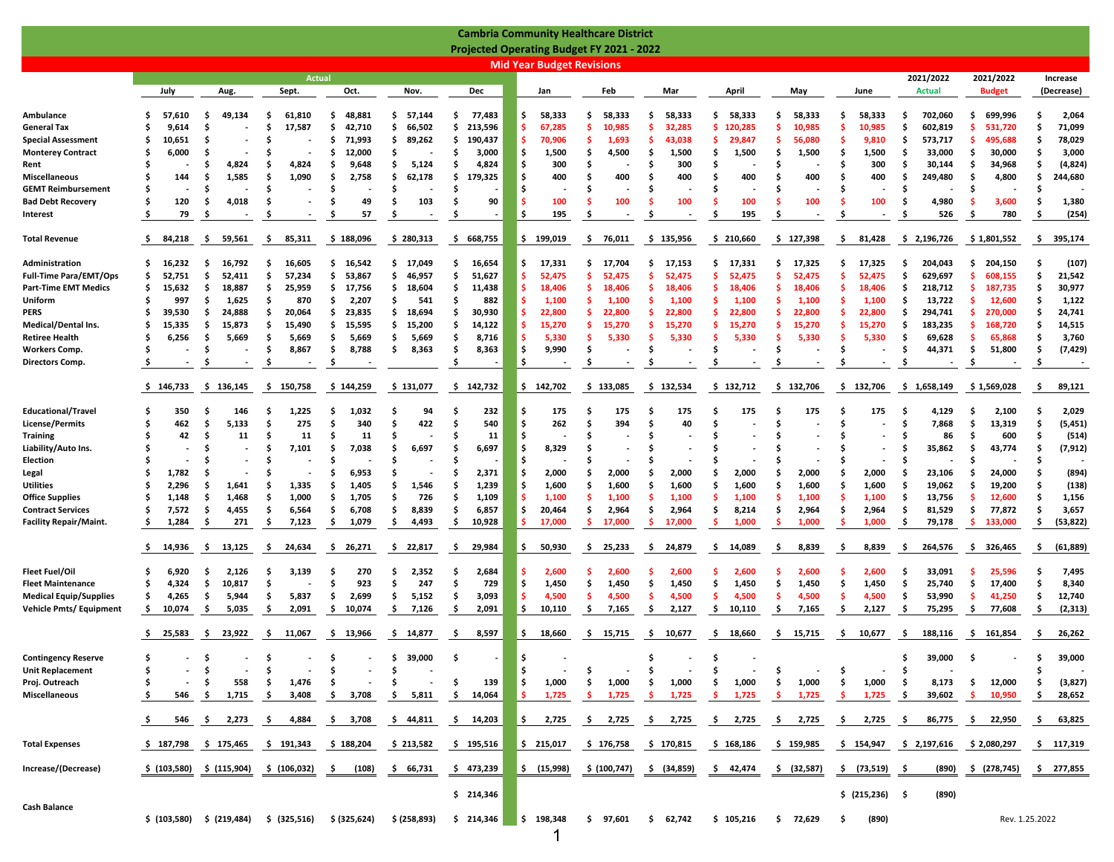|                               |               |                           |                               |               |                               |               |     |                                  | <b>Cambria Community Healthcare District</b>     |              |              |               |                 |       |                |                |                  |
|-------------------------------|---------------|---------------------------|-------------------------------|---------------|-------------------------------|---------------|-----|----------------------------------|--------------------------------------------------|--------------|--------------|---------------|-----------------|-------|----------------|----------------|------------------|
|                               |               |                           |                               |               |                               |               |     |                                  | <b>Projected Operating Budget FY 2021 - 2022</b> |              |              |               |                 |       |                |                |                  |
|                               |               |                           |                               |               |                               |               |     | <b>Mid Year Budget Revisions</b> |                                                  |              |              |               |                 |       |                |                |                  |
|                               |               |                           | <b>Actual</b>                 |               |                               | Dec           |     |                                  |                                                  |              |              |               |                 |       | 2021/2022      | 2021/2022      | Increase         |
|                               | July          | Aug.                      | Sept.                         | Oct.          | Nov.                          |               |     | Jan                              | Feb                                              | Mar          | April        | May           | June            |       | <b>Actual</b>  | <b>Budget</b>  | (Decrease)       |
| Ambulance                     | 57,610<br>s   | 49,134<br>.s              | 61,810<br>s                   | 48,881<br>\$  | \$<br>57,144                  | Ŝ<br>77,483   | \$  | 58,333                           | 58,333<br>S                                      | 58,333<br>S  | \$<br>58,333 | \$.<br>58,333 | Ŝ<br>58,333     |       | 702,060<br>.s  | 699,996<br>-\$ | 2,064            |
| General Tax                   | 9,614<br>s    | S                         | 17,587<br>s                   | 42,710<br>s   | \$<br>66,502                  | Ŝ<br>213,596  | -\$ | 67,285                           | s<br>10.985                                      | 32.285<br>.s | Ŝ<br>120.285 | s<br>10.985   | 10.985<br>.s    |       | 602,819<br>.s  | .s<br>531.720  | 71,099           |
| <b>Special Assessment</b>     | 10,651<br>s   | s                         |                               | 71,993<br>S   | s.<br>89,262                  | 190,437<br>.s | -\$ | 70,906                           | S<br>1,693                                       | 43,038<br>-S | .s<br>29,847 | 56,080<br>s   | .s<br>9,810     |       | 573,717<br>.s  | -\$<br>495,688 | 78,029           |
| <b>Monterey Contract</b>      | 6,000<br>S    | S                         |                               | S<br>12,000   | S                             | Ś<br>3,000    | \$  | 1,500                            | S<br>4,500                                       | 1,500<br>S   | Ŝ.<br>1,500  | \$<br>1,500   | \$<br>1,500     |       | Ŝ<br>33,000    | \$.<br>30,000  | 3,000            |
| Rent                          |               | S<br>4,824                | 4,824<br>S                    | S<br>9,648    | 5,124<br>S                    | S<br>4,824    | \$. | 300                              | S                                                | 300<br>.s    | Ŝ.           | \$            | \$              | 300   | . Ś<br>30,144  | \$.<br>34,968  | (4, 824)         |
| Miscellaneous                 | Ŝ<br>144      | Ś<br>1,585                | 1,090                         | Ś<br>2,758    | 62,178<br>Ŝ                   | Ŝ<br>179,325  | Ś.  | 400                              | 400<br>Ś                                         | 400          | 400<br>Ŝ     | 400<br>Ś      | \$.             | 400   | 249,480<br>. Ś | - Ś<br>4,800   | 244,680          |
| <b>GEMT Reimbursement</b>     | Ŝ             | Ś                         |                               | Ś             | S                             |               | Ś.  |                                  | Ś                                                | S            | Ŝ.           | Ś             | \$              |       | . Ś            | -\$            |                  |
| <b>Bad Debt Recovery</b>      | 120<br>S      | \$<br>4,018               | S<br>$\overline{\phantom{a}}$ | Ś<br>49       | 103<br>Ŝ                      | 90<br>s       | -\$ | 100                              | Ś<br>100                                         | 100          | Ŝ<br>100     | s<br>100      | Ŝ               | 100   | . Ś<br>4,980   | .S<br>3,600    | 1,380            |
| Interest                      | 79<br>.S      | S                         |                               | 57<br>S       | <b>S</b>                      |               | \$  | 195                              | S                                                |              | 195          | S             |                 |       | 526            | 780<br>.S      | (254)<br>.s      |
| Total Revenue                 | 84,218<br>-S  | 59,561<br>-S              | -\$<br>85,311                 | \$188,096     | \$280,313                     | 668,755<br>-S |     | \$199,019                        | -\$<br>76,011                                    | \$135,956    | \$210,660    | \$127,398     | 81,428<br>.s    |       | \$2,196,726    | \$1,801,552    | 395,174<br>-\$   |
| Administration                | 16,232<br>s   | 16,792<br>-S              | 16,605<br>S                   | 16,542<br>s   | \$<br>17,049                  | Ś<br>16,654   | \$  | 17,331                           | Ś<br>17,704                                      | 17,153<br>s. | \$<br>17,331 | \$.<br>17,325 | 17,325<br>s     |       | 204,043<br>-S  | \$<br>204,150  | (107)            |
| <b>Full-Time Para/EMT/Ops</b> | 52,751<br>s   | \$<br>52,411              | 57,234<br>S                   | 53,867<br>\$  | \$<br>46,957                  | 51,627<br>S   | -Ś  | 52,475                           | s<br>52,475                                      | 52,475<br>.s | .s<br>52,475 | s<br>52,475   | 52,475<br>s     |       | 629,697<br>.s  | .s<br>608,155  | 21,542           |
| <b>Part-Time EMT Medics</b>   | s<br>15,632   | -\$<br>18,887             | 25,959<br>s                   | \$<br>17,756  | 18,604<br>\$.                 | 11,438<br>.s  | -\$ | 18,406                           | S<br>18.406                                      | 18,406<br>-S | .s<br>18.406 | s<br>18,406   | s<br>18.406     |       | 218,712<br>-S  | -\$<br>187,735 | 30,977           |
| Uniform                       | 997<br>S      | -S<br>1,625               | 870<br>S                      | 2,207<br>S    | 541<br>s.                     | 882           | -\$ | 1,100                            | S<br>1,100                                       | 1,100        | -S<br>1,100  | s<br>1,100    | .s<br>1,100     |       | 13,722<br>-S   | -\$<br>12,600  | 1,122            |
| PERS                          | 39,530<br>s   | .s<br>24,888              | 20,064<br>s                   | S<br>23,835   | \$<br>18,694                  | 30,930        | -\$ | 22,800                           | Ś<br>22,800                                      | 22,800       | 22,800       | \$<br>22.800  | 22,800<br>s     |       | \$.<br>294,741 | -\$<br>270,000 | 24,741           |
| Medical/Dental Ins.           | S<br>15,335   | -S<br>15,873              | 15,490<br>S                   | Ś<br>15,595   | s.<br>15,200                  | 14,122<br>s   | -Ś  | 15,270                           | S<br>15,270                                      | 15,270       | .s<br>15,270 | \$<br>15,270  | \$.<br>15,270   |       | 183,235<br>.s  | -\$<br>168,720 | 14,515           |
| Retiree Health                | 6,256<br>S    | -\$<br>5,669              | . Ś<br>5,669                  | Ŝ<br>5,669    | \$<br>5,669                   | Ŝ<br>8,716    | -Ś  | 5,330                            | S<br>5,330                                       | .s<br>5,330  | .s<br>5,330  | \$.<br>5,330  | Ŝ<br>5,330      |       | \$.<br>69,628  | -\$<br>65,868  | 3,760            |
| Workers Comp.                 | s             | -\$                       | \$<br>8,867                   | \$<br>8,788   | \$<br>8,363                   | \$<br>8,363   | \$  | 9,990                            | \$                                               | Ŝ            | Ŝ.           | \$            | Ŝ               |       | \$<br>44,371   | \$<br>51,800   | (7, 429)<br>S    |
| Directors Comp.               |               | -S                        | .s                            | -\$           |                               |               | \$  |                                  | S                                                |              | S            | S             | s               |       | \$             | \$.            | -S               |
|                               | \$146,733     | \$136,145                 | \$150,758                     | \$144,259     | \$131,077                     | \$142,732     |     | \$142,702                        | \$133,085                                        | \$132,534    | \$132,712    | \$132,706     | \$132,706       |       | \$1,658,149    | \$1,569,028    | 89,121<br>-\$    |
| <b>Educational/Travel</b>     | 350           | 146<br>s                  | 1,225<br>S                    | 1,032<br>S    | 94                            | 232           | \$. | 175                              | 175                                              | 175          | 175          | 175<br>S      |                 | 175   | 4,129<br>.s    | Ś<br>2,100     | 2,029            |
| License/Permits               | Ŝ<br>462      | Ŝ<br>5,133                | 275<br>S                      | Ś<br>340      | 422<br>Ŝ                      | 540           | \$. | 262                              | Ś<br>394                                         | 40<br>Ŝ      |              | Ś             | \$.             |       | . Ś<br>7,868   | \$<br>13,319   | (5, 451)         |
| <b>Training</b>               | 42            | S<br>11                   | 11<br>s                       | S<br>11       | s                             | 11            | Ŝ.  |                                  |                                                  | S            | .s           | \$            | S               | ٠     | 86<br>.s       | -\$<br>600     | (514)            |
| Liability/Auto Ins.           | S             | s                         | 7,101<br>s                    | 7,038<br>S    | 6,697<br>s                    | 6,697         | \$. | 8,329                            |                                                  |              |              | S             | S               |       | 35,862<br>.S   | \$<br>43,774   | (7, 912)         |
| Election                      |               | S                         |                               | S             | <b>S</b>                      |               | Ś   |                                  | S                                                | -S           | .s           | \$            | S               |       | . Ś            | - Ś            |                  |
| Legal                         | 1,782         | S                         |                               | 6,953<br>S    | S                             | 2,371         | \$  | 2,000                            | Ś<br>2,000                                       | 2,000<br>-S  | 2,000        | \$<br>2,000   | 2,000<br>S      |       | 23,106<br>.S   | - Ś<br>24,000  | (894)            |
| Utilities                     | Ŝ<br>2,296    | Ŝ<br>1,641                | 1,335<br>S                    | Ś<br>1,405    | 1,546<br>Ŝ                    | 1,239         | \$  | 1,600                            | S<br>1,600                                       | Ŝ<br>1,600   | Ŝ.<br>1,600  | Ś<br>1,600    | \$<br>1,600     |       | . Ś<br>19,062  | \$<br>19,200   | (138)            |
| <b>Office Supplies</b>        | Ŝ<br>1,148    | Ŝ<br>1,468                | Ś<br>1,000                    | Ś<br>1,705    | 726<br>Ŝ                      | Ŝ<br>1,109    | -Ś  | 1,100                            | Ś<br>1,100                                       | 1,100        | .s<br>1,100  | Ŝ<br>1,100    | Ŝ<br>1,100      |       | \$.<br>13,756  | Ŝ<br>12,600    | 1,156            |
| <b>Contract Services</b>      | Ŝ<br>7,572    | \$<br>4,455               | \$.<br>6,564                  | Ŝ<br>6,708    | Ŝ<br>8,839                    | Ŝ<br>6,857    | \$  | 20,464                           | Ŝ<br>2,964                                       | Ŝ<br>2,964   | .\$<br>8,214 | \$<br>2,964   | \$<br>2,964     |       | \$.<br>81,529  | \$<br>77,872   | 3,657<br>-S      |
| Facility Repair/Maint.        | S<br>1,284    | -S<br>271                 | \$<br>7,123                   | \$<br>1,079   | 4,493<br>S                    | 10,928<br>-S  | -\$ | 17,000                           | .s<br>17,000                                     | .s<br>17,000 | -S<br>1,000  | .s<br>1,000   | 1,000<br>.S     |       | \$.<br>79,178  | .s<br>133,000  | (53, 822)<br>-\$ |
|                               | 14,936<br>Ş   | -S<br>13,125              | -S<br>24,634                  | \$26,271      | \$22,817                      | 29,984<br>-\$ | \$  | 50,930                           | \$.<br>25,233                                    | -S<br>24,879 | Ş.<br>14,089 | 8,839<br>\$.  | 8,839<br>.s     |       | -S<br>264,576  | \$326,465      | (61, 889)<br>Ş.  |
| Fleet Fuel/Oil                | 6,920         | 2,126<br>S                | 3,139                         | 270<br>S      | 2,352<br>S                    | 2,684         | -\$ | 2,600                            | 2,600                                            | 2,600        | 2,600        | s<br>2,600    | 2,600           |       | 33,091<br>-S   | .s<br>25,596   | 7,495            |
| <b>Fleet Maintenance</b>      | 4,324<br>s    | \$<br>10,817              | S                             | 923<br>S      | Ŝ<br>247                      | 729<br>Ŝ      | \$  | 1,450                            | 1,450<br>\$                                      | \$.<br>1,450 | Ŝ.<br>1,450  | \$<br>1,450   | \$<br>1,450     |       | \$<br>25,740   | \$.<br>17,400  | 8,340            |
| <b>Medical Equip/Supplies</b> | 4,265<br>s    | -S<br>5,944               | 5,837<br>-S                   | 2,699<br>S    | \$<br>5,152                   | 3,093<br>-S   | -\$ | 4,500                            | .s<br>4,500                                      | 4,500<br>-S  | .s<br>4,500  | \$.<br>4,500  | s<br>4,500      |       | 53,990<br>-S   | -\$<br>41,250  | 12,740<br>s      |
| Vehicle Pmts/ Equipment       | \$.<br>10,074 | \$<br>5,035               | 2,091<br>S                    | -S<br>10,074  | 7,126<br>-\$                  | 2,091<br>- S  | \$  | 10,110                           | \$.<br>7,165                                     | 2,127<br>-S  | \$<br>10,110 | \$<br>7,165   | \$<br>2,127     |       | 75,295<br>-S   | \$<br>77,608   | (2, 313)<br>-S   |
|                               | 25,583        | \$ 23,922                 | - S<br>11,067                 | \$13,966      | \$14,877                      | 8,597<br>-\$  | -S  | 18,660                           | \$ 15,715                                        | \$ 10,677    | \$18,660     | \$15,715      | - Ş<br>10,677   |       | - S<br>188,116 | \$161,854      | 26,262<br>-S     |
| <b>Contingency Reserve</b>    | s             | \$                        | s                             | \$            | 39,000<br>\$.                 | \$            | \$  |                                  |                                                  | S            | .\$          |               |                 |       | 39,000<br>s    | -\$            | 39,000<br>-S     |
| <b>Unit Replacement</b>       |               | Ś                         |                               | Ś             | Ŝ                             |               | \$. |                                  | S                                                |              | Ŝ            | \$            | \$              |       | . Ś            |                |                  |
| Proj. Outreach                |               | 558<br>S                  | 1,476<br>S                    | \$            | Ŝ<br>$\overline{\phantom{a}}$ | . Ś<br>139    | \$  | 1,000                            | 1,000<br>\$                                      | 1,000<br>S   | \$<br>1,000  | \$<br>1,000   | \$<br>1,000     |       | 8,173<br>-S    | \$<br>12,000   | (3,827)          |
| Miscellaneous                 | 546           | -\$<br>1,715              | 3,408<br>-S                   | \$<br>3,708   | 5,811<br>-\$                  | 14,064<br>-S  | -\$ | 1,725                            | .s<br>1,725                                      | 1,725        | 1,725        | .s<br>1,725   | 1,725           |       | 39,602         | .s<br>10,950   | 28,652<br>-\$    |
|                               |               |                           |                               |               |                               |               |     |                                  |                                                  |              |              |               |                 |       |                |                |                  |
|                               | 546           | 2,273<br>- S              | 4,884<br>Ş                    | 3,708<br>-S   | 44,811<br>Ş.                  | 14,203<br>-\$ | ş.  | 2,725                            | 2,725<br>-S                                      | 2,725<br>Ş.  | 2,725<br>\$. | 2,725<br>Ş.   | 2,725<br>\$.    |       | 86,775<br>- Ş  | 22,950<br>-S   | 63,825<br>-\$    |
| <b>Total Expenses</b>         | \$187,798     | \$175,465                 | \$191,343                     | \$188,204     | \$213,582                     | \$195,516     |     | \$215,017                        | \$176,758                                        | \$170,815    | \$168,186    | \$159,985     | \$154,947       |       | \$2,197,616    | \$2,080,297    | 117,319<br>Ş.    |
| Increase/(Decrease)           | \$ (103,580)  | \$ (115,904)              | \$ (106,032)                  | (108)<br>\$.  | \$ 66,731                     | \$473,239     |     | \$ (15,998)                      | \$ (100, 747)                                    | \$ (34,859)  | \$ 42,474    | \$ (32,587)   | \$ (73,519)     |       | (890)<br>- \$  | \$ (278, 745)  | \$277,855        |
| Cash Balance                  |               |                           |                               |               |                               | \$214,346     |     |                                  |                                                  |              |              |               | \$ (215,236) \$ |       | (890)          |                |                  |
|                               |               | $$(103,580)$ $$(219,484)$ | \$ (325,516)                  | \$ (325, 624) | \$ (258,893)                  | \$214,346     |     | 5 198,348                        | \$<br>97,601                                     | \$62,742     | \$105,216    | \$72,629      | \$              | (890) |                |                | Rev. 1.25.2022   |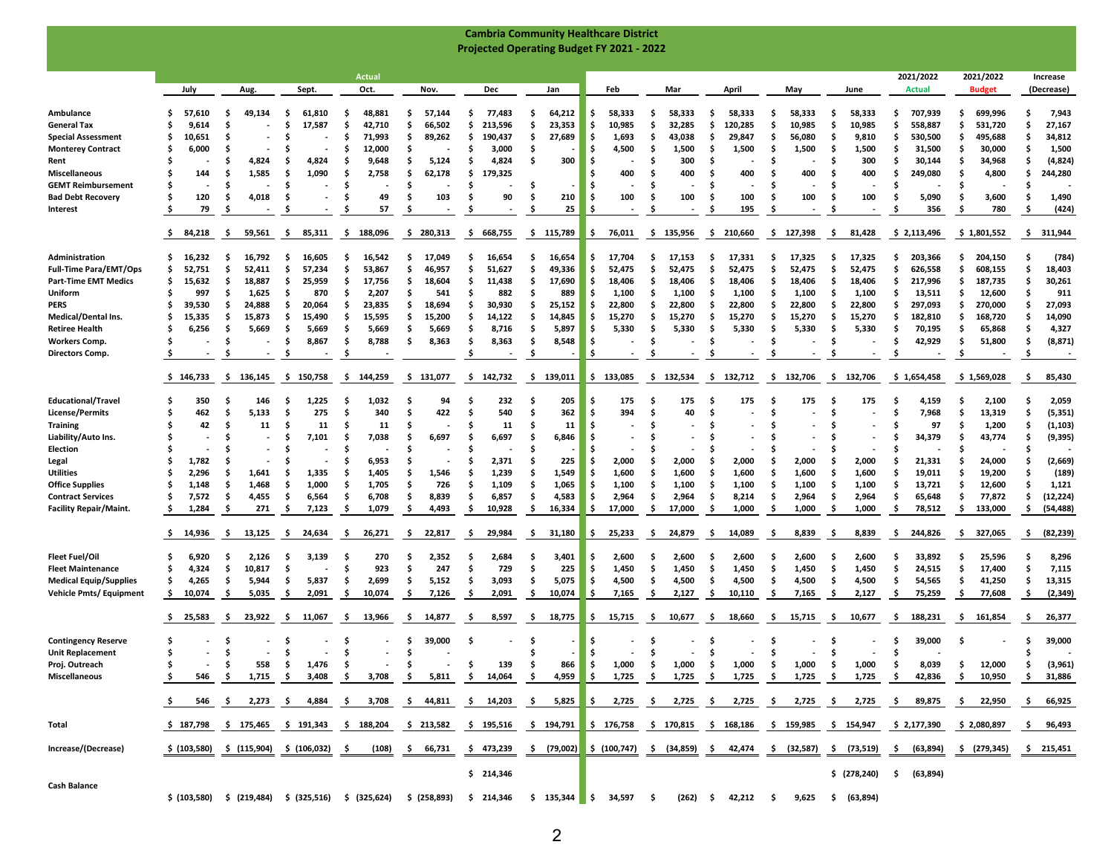|                                                       |                |                   |                                           |                                                                                                                                          |                 |                             | <b>Cambria Community Healthcare District</b>                            |                |                  |                            |                                                                                                                                                                                                     |                 |                                                                                        |                    |                  |
|-------------------------------------------------------|----------------|-------------------|-------------------------------------------|------------------------------------------------------------------------------------------------------------------------------------------|-----------------|-----------------------------|-------------------------------------------------------------------------|----------------|------------------|----------------------------|-----------------------------------------------------------------------------------------------------------------------------------------------------------------------------------------------------|-----------------|----------------------------------------------------------------------------------------|--------------------|------------------|
|                                                       |                |                   |                                           |                                                                                                                                          |                 |                             | <b>Projected Operating Budget FY 2021 - 2022</b>                        |                |                  |                            |                                                                                                                                                                                                     |                 |                                                                                        |                    |                  |
|                                                       |                |                   |                                           |                                                                                                                                          |                 |                             |                                                                         |                |                  |                            |                                                                                                                                                                                                     |                 |                                                                                        |                    |                  |
|                                                       |                |                   |                                           | Actual                                                                                                                                   |                 |                             |                                                                         |                |                  |                            |                                                                                                                                                                                                     |                 | 2021/2022                                                                              | 2021/2022          | Increase         |
|                                                       | July           | Aug.              | Sept.                                     | Oct.                                                                                                                                     | Nov.            | Dec                         | Jan                                                                     | Feb            | Mar              | April                      | May                                                                                                                                                                                                 | June            | <b>Actual</b>                                                                          | <b>Budget</b>      | (Decrease)       |
| Ambulance                                             | S<br>57,610    | 49,134<br>s       | 61,810<br>s                               | 48,881<br>-S                                                                                                                             | .s<br>57,144    | 77,483<br>S                 | 64,212<br>Ŝ                                                             | 58,333<br>s    | 58,333<br>s.     | 58,333<br>.s               | 58,333<br>.s                                                                                                                                                                                        | 58,333<br>S     | 707,939<br>S                                                                           | Ś.<br>699,996      | 7,943            |
| <b>General Tax</b>                                    | \$<br>9,614    | S                 | 17,587<br>S                               | 42,710<br>.s                                                                                                                             | 66,502<br>S     | Ŝ<br>213,596                | 23,353<br>Ŝ                                                             | 10,985<br>S    | Ŝ.<br>32,285     | 120,285<br>S               | 10,985<br>.s                                                                                                                                                                                        | 10,985<br>S     | 558,887<br>S                                                                           | Ś.<br>531,720      | 27,167           |
| <b>Special Assessment</b>                             | \$<br>10,651   | S                 | S                                         | 71,993<br>.s                                                                                                                             | 89,262<br>-S    | \$<br>190,437               | 27,689<br>S                                                             | \$.<br>1,693   | \$<br>43,038     | 29,847<br>\$.              | 56,080<br>.s                                                                                                                                                                                        | 9,810<br>S      | 530,500<br>S                                                                           | \$<br>495,688      | 34,812           |
| <b>Monterey Contract</b>                              | 6,000<br>s     |                   | s                                         | .s<br>12,000                                                                                                                             | S               | .s<br>3,000                 | S                                                                       | 4,500<br>-S    | s.<br>1,500      | .s<br>1,500                | 1,500                                                                                                                                                                                               | 1,500<br>-S     | \$<br>31,500                                                                           | \$.<br>30,000      | 1,500            |
| Rent                                                  | \$             | Ś<br>4,824        | 4,824<br>\$                               | 9,648<br>.s                                                                                                                              | 5,124<br>.s     | Ŝ<br>4,824                  | 300<br>\$                                                               | Ś              | 300              | Ŝ                          | Ŝ                                                                                                                                                                                                   | 300<br>S        | Ś<br>30,144                                                                            | \$<br>34,968       | (4, 824)<br>Ŝ    |
| <b>Miscellaneous</b>                                  | 144<br>S       | 1,585<br>S        | \$<br>1,090                               | . Ś<br>2,758                                                                                                                             | Ŝ<br>62,178     | Ŝ<br>179,325                |                                                                         | 400            | 400              | 400<br>.s                  | 400<br>Ŝ                                                                                                                                                                                            | 400<br>S        | Ŝ<br>249,080                                                                           | \$<br>4,800        | 244,280<br>Ŝ     |
| <b>GEMT Reimbursement</b><br><b>Bad Debt Recovery</b> | S<br>\$<br>120 | .\$<br>4,018<br>S | S<br>s<br>٠                               | .s<br>49<br>-S                                                                                                                           | .s<br>103<br>.s | .s<br>90<br>.s              | -S<br>. Ś<br>210                                                        | s<br>100<br>.s | s.<br>100<br>s.  | S<br>100<br>.s             | .s<br>100<br>-S                                                                                                                                                                                     | S<br>100<br>S   | S<br>5,090<br>S                                                                        | \$.<br>\$<br>3,600 | 1,490            |
| Interest                                              | 79<br>s        | S                 | s                                         | 57<br>S                                                                                                                                  | S               | S                           | 25                                                                      | S              |                  | 195<br>.s                  |                                                                                                                                                                                                     | S               | 356                                                                                    | 780<br>s           | (424)            |
|                                                       |                |                   |                                           |                                                                                                                                          |                 |                             |                                                                         |                |                  |                            |                                                                                                                                                                                                     |                 |                                                                                        |                    |                  |
|                                                       | 84,218<br>Ş.   | -\$<br>59,561     | 85,311<br>-S                              | 188,096<br>-\$                                                                                                                           | 280,313<br>-S   | 668,755<br>\$.              | s.<br>115,789                                                           | 76,011<br>.s   | 135,956<br>\$    | 210,660<br>-S              | 127,398<br>-S                                                                                                                                                                                       | 81,428<br>-\$   | \$2,113,496                                                                            | \$1,801,552        | 311,944<br>\$.   |
| Administration                                        | 16,232<br>\$.  | 16,792<br>s.      | 16.605<br>s                               | 16,542<br>-S                                                                                                                             | Ŝ<br>17,049     | 16,654<br>Ŝ.                | 16,654<br>-S                                                            | \$<br>17,704   | 17,153<br>Ŝ      | -S<br>17,331               | 17,325<br>-S                                                                                                                                                                                        | 17,325<br>S     | 203,366<br>S                                                                           | Ś.<br>204,150      | (784)            |
| <b>Full-Time Para/EMT/Ops</b>                         | \$.<br>52,751  | Ŝ.<br>52,411      | .s<br>57,234                              | 53,867<br>.s                                                                                                                             | 46,957<br>.s    | Ŝ<br>51,627                 | Ŝ<br>49,336                                                             | 52,475         | 52,475<br>Ŝ      | .s<br>52,475               | 52,475<br>.s                                                                                                                                                                                        | Ś<br>52,475     | 626,558<br>S                                                                           | \$<br>608,155      | 18,403           |
| <b>Part-Time EMT Medics</b>                           | \$<br>15,632   | 18,887<br>S       | 25,959<br>s                               | 17,756<br>.s                                                                                                                             | S<br>18,604     | 11,438<br>s                 | \$<br>17,690                                                            | 18,406<br>S    | s.<br>18,406     | S<br>18,406                | 18,406<br>.s                                                                                                                                                                                        | 18,406<br>S     | 217,996<br>\$                                                                          | \$<br>187,735      | 30,261           |
| Uniform                                               | S<br>997       | 1,625<br>.s       | S<br>870                                  | 2,207<br>-S                                                                                                                              | 541<br>-S       | 882<br>.s                   | 889<br>S                                                                | S<br>1,100     | 1,100<br>-S      | -S<br>1,100                | 1,100<br>-S                                                                                                                                                                                         | 1,100<br>S      | 13,511<br>S                                                                            | \$.<br>12,600      | 911              |
| PERS                                                  | \$<br>39,530   | S<br>24,888       | s<br>20,064                               | Ŝ<br>23,835                                                                                                                              | 18,694<br>S     | Ŝ<br>30,930                 | \$<br>25,152                                                            | 22,800         | 22,800<br>s.     | .s<br>22,800               | .s<br>22,800                                                                                                                                                                                        | S<br>22,800     | S<br>297,093                                                                           | \$<br>270,000      | 27,093           |
| <b>Medical/Dental Ins.</b>                            | \$<br>15,335   | 15,873<br>S       | 15,490<br>S                               | 15,595<br>Ŝ                                                                                                                              | 15,200<br>.s    | Ŝ<br>14,122                 | \$<br>14,845                                                            | 15,270<br>S    | Ŝ<br>15,270      | Ŝ<br>15,270                | 15,270<br>-S                                                                                                                                                                                        | Ś<br>15,270     | Ś<br>182,810                                                                           | \$<br>168,720      | 14,090           |
| <b>Retiree Health</b>                                 | 6,256<br>S     | 5,669<br>.s       | \$.<br>5,669                              | .s<br>5,669                                                                                                                              | 5,669<br>-S     | 8,716<br>-S                 | 5,897<br>.s                                                             | 5,330<br>S     | 5,330<br>s.      | 5,330<br>-S                | 5,330<br>.s                                                                                                                                                                                         | 5,330<br>.s     | 70,195<br>.s                                                                           | \$.<br>65,868      | 4,327            |
| <b>Workers Comp.</b>                                  | S              | .s                | -S<br>8,867                               | .s<br>8,788                                                                                                                              | 8,363<br>-S     | 8,363<br>-S                 | \$<br>8,548                                                             | s              | Ŝ.               | S                          | .s                                                                                                                                                                                                  | Ś.              | 42,929<br>.s                                                                           | \$<br>51,800       | (8, 871)<br>.s   |
| Directors Comp.                                       | Ş              | S                 | Ş                                         | -S                                                                                                                                       |                 | -S                          | -S                                                                      | .s             | <b>s</b>         | -\$                        | -\$                                                                                                                                                                                                 | .s              | -\$                                                                                    | .s                 | -S               |
|                                                       | \$146,733      | - \$<br>136,145   | \$150,758                                 | -\$<br>144,259                                                                                                                           | 131,077<br>\$.  | \$142,732                   | s.<br>139,011                                                           | \$133,085      | -S<br>132,534    | -\$<br>132,712             | -\$<br>132,706                                                                                                                                                                                      | - \$<br>132,706 | \$1,654,458                                                                            | \$1,569,028        | Ŝ<br>85,430      |
| <b>Educational/Travel</b>                             | 350<br>S       | 146<br>S          | 1,225<br>s                                | 1,032<br>.s                                                                                                                              | 94<br>S         | 232<br>.s                   | 205<br>Ŝ                                                                | 175<br>S       | 175              | 175<br>-S                  | 175                                                                                                                                                                                                 | 175<br>S        | 4,159<br>S                                                                             | \$<br>2,100        | 2,059            |
| <b>License/Permits</b>                                | 462<br>S       | 5,133<br>S        | 275<br>.s                                 | 340<br>.s                                                                                                                                | 422<br>S        | .\$<br>540                  | 362<br>\$                                                               | 394            | 40<br>s.         | Ś.                         | -S                                                                                                                                                                                                  | S               | 7,968<br>S                                                                             | \$<br>13,319       | (5, 351)         |
| <b>Training</b>                                       | Ś<br>42        | S<br>11           | 11<br>s                                   | 11                                                                                                                                       | s               | 11<br>.s                    | 11                                                                      |                |                  |                            |                                                                                                                                                                                                     | S               | 97<br>S                                                                                | \$<br>1,200        | (1, 103)<br>Ŝ    |
| Liability/Auto Ins.                                   | s              | S                 | 7,101<br>S                                | 7,038<br>S                                                                                                                               | 6,697<br>S      | 6,697<br>Ś                  | 6,846<br>Ŝ                                                              | S              |                  | s                          |                                                                                                                                                                                                     | S               | 34,379<br>S                                                                            | 43,774<br>\$.      | (9, 395)         |
| Election                                              | S              | s                 | S                                         |                                                                                                                                          |                 |                             |                                                                         |                |                  | s                          |                                                                                                                                                                                                     |                 | s                                                                                      | \$                 |                  |
| Legal                                                 | \$<br>1,782    | S                 | S                                         | 6,953<br>Ŝ                                                                                                                               | s               | 2,371<br>.s                 | 225<br>Ŝ                                                                | 2,000<br>.s    | 2,000            | 2,000<br>.s                | 2,000<br>Ŝ                                                                                                                                                                                          | 2,000<br>S      | 21,331<br>S                                                                            | \$<br>24,000       | (2,669)          |
| <b>Utilities</b>                                      | 2,296<br>S     | 1,641<br>S        | \$<br>1,335                               | 1,405<br>.s                                                                                                                              | 1,546<br>\$.    | Ŝ<br>1,239                  | 1,549<br>S                                                              | 1,600          | 1,600            | 1,600<br>.s                | 1,600                                                                                                                                                                                               | 1,600<br>S      | 19,011<br>S                                                                            | \$<br>19,200       | (189)            |
| <b>Office Supplies</b>                                | S<br>1,148     | 1,468<br>S        | 1,000<br>-S                               | 1,705<br>.s                                                                                                                              | 726<br>.s       | . Ś<br>1,109                | 1,065<br>.s                                                             | 1,100<br>S     | 1,100<br>Ŝ       | -S<br>1,100                | 1,100<br>-S                                                                                                                                                                                         | 1,100<br>.s     | 13,721<br>.s                                                                           | \$<br>12,600       | 1,121            |
| <b>Contract Services</b>                              | \$<br>7,572    | 4,455<br>.s<br>.s | 6,564<br>\$.<br>S                         | 6,708<br>.s                                                                                                                              | 8,839<br>.s     | 6,857<br>.s                 | 4,583<br>.s                                                             | 2,964<br>S     | 2,964<br>s.      | 8,214<br>.s<br>1,000<br>.s | 2,964<br>-S                                                                                                                                                                                         | 2,964<br>.s     | 65,648<br>S                                                                            | \$<br>77,872       | (12, 224)<br>-S  |
| <b>Facility Repair/Maint.</b>                         | \$.<br>1,284   | 271               | 7,123                                     | 1,079<br>-S                                                                                                                              | 4,493<br>-S     | 10,928<br>S                 | 16,334<br>-S                                                            | 17,000<br>.s   | \$<br>17,000     |                            | 1,000<br>-S                                                                                                                                                                                         | 1,000<br>-S     | 78,512<br>S                                                                            | \$<br>133,000      | (54, 488)<br>-S  |
|                                                       | \$14,936       | -\$<br>13,125     | 24,634<br>ş.                              | -\$<br>26,271                                                                                                                            | 22,817<br>Ş     | \$.<br>29,984               | -\$<br>31,180                                                           | 25,233<br>s    | -\$<br>24,879    | -S<br>14,089               | -\$<br>8,839                                                                                                                                                                                        | -\$<br>8,839    | .s<br>244,826                                                                          | \$.<br>327,065     | -\$<br>(82, 239) |
| <b>Fleet Fuel/Oil</b>                                 | 6,920<br>s     | 2,126<br>.s       | 3,139<br>s                                | 270<br>S                                                                                                                                 | 2,352<br>.s     | 2,684<br>S                  | 3,401                                                                   | 2,600          | 2,600<br>S       | 2,600<br>-S                | 2,600                                                                                                                                                                                               | 2,600<br>S      | 33,892<br>s                                                                            | 25,596<br>S        | 8,296            |
| <b>Fleet Maintenance</b>                              | \$<br>4,324    | \$.<br>10,817     | .s                                        | 923<br>Ŝ.                                                                                                                                | 247<br>Ŝ.       | Ś.<br>729                   | 225<br>. Ś                                                              | 1,450<br>S     | Ŝ.<br>1,450      | \$<br>1,450                | 1,450<br>.s                                                                                                                                                                                         | Ś.<br>1,450     | \$<br>24,515                                                                           | \$<br>17,400       | 7,115<br>.s      |
| <b>Medical Equip/Supplies</b>                         | \$<br>4,265    | -S<br>5,944       | 5,837<br>-S                               | 2,699<br>.s                                                                                                                              | 5,152<br>.s     | 3,093<br>.s                 | 5,075<br>.s                                                             | 4,500<br>S     | 4,500<br>s.      | 4,500<br>S                 | 4,500<br>.s                                                                                                                                                                                         | 4,500<br>.s     | 54,565<br>.s                                                                           | \$<br>41,250       | 13,315<br>.s     |
| <b>Vehicle Pmts/ Equipment</b>                        | \$.<br>10,074  | -S<br>5,035       | 2,091<br>s                                | .s<br>10,074                                                                                                                             | .s<br>7,126     | 2,091<br>.s                 | -S<br>10,074                                                            | .s<br>7,165    | s.<br>2,127      | -S<br>10,110               | .s<br>7,165                                                                                                                                                                                         | -S<br>2,127     | .s<br>75,259                                                                           | \$<br>77,608       | (2, 349)<br>.s   |
|                                                       | \$25,583       | 23,922<br>Ş       | 11,067<br>-S                              | - \$<br>13,966                                                                                                                           | -\$<br>14,877   | 8,597<br>-\$                | 18,775<br>-\$                                                           | \$<br>15,715   | 10,677<br>-\$    | 18,660<br>-\$              | -\$<br>15,715                                                                                                                                                                                       | -\$<br>10,677   | 188,231<br>-\$                                                                         | \$.<br>161,854     | -\$<br>26,377    |
| <b>Contingency Reserve</b>                            | s              | s                 | -S                                        | S                                                                                                                                        | 39,000<br>s     | S                           | s                                                                       | s              | -S               | -S                         | s                                                                                                                                                                                                   | S               | 39,000<br>s                                                                            | .s                 | 39,000<br>-S     |
| <b>Unit Replacement</b>                               | \$.            | Ś<br>٠            | -S                                        | Ŝ.                                                                                                                                       | Ś               |                             |                                                                         | Ś              | s.               | Ŝ                          | .s                                                                                                                                                                                                  | Ś<br>٠          | Ś                                                                                      |                    |                  |
| Proj. Outreach                                        |                | 558               | \$<br>1,476                               | -\$                                                                                                                                      |                 | - \$<br>139                 | -\$<br>866                                                              | - 15<br>1,000  | - \$<br>1,000 \$ | 1,000                      | $\sim$ \$<br>1,000                                                                                                                                                                                  | - \$<br>1,000   | -\$<br>8,039                                                                           | \$<br>12,000       | \$<br>(3,961)    |
| Miscellaneous                                         | \$.            | 546 \$ 1,715      | \$3,408                                   |                                                                                                                                          |                 | \$ 3,708 \$ 5,811 \$ 14,064 | \$ 4,959                                                                |                |                  |                            | $\begin{array}{ccccccccccccc}\n\text{\$} & 1,725 & \text{\$} & 1,725 & \text{\$} & 1,725 & \text{\$} & 1,725 & \text{\$} & 1,725 & \text{\$} & 1,725 & \text{\$} & 1,725 & \text{\$} & \end{array}$ |                 | - \$<br>42,836                                                                         | \$10,950           | -S<br>31,886     |
|                                                       |                |                   |                                           |                                                                                                                                          |                 |                             |                                                                         |                |                  |                            |                                                                                                                                                                                                     |                 |                                                                                        |                    |                  |
|                                                       | ş.             |                   |                                           | 546 \$ 2,273 \$ 4,884 \$ 3,708 \$ 44,811 \$ 14,203 \$ 5,825 \$ 2,725 \$ 2,725 \$ 2,725 \$ 2,725 \$ 2,725 \$                              |                 |                             |                                                                         |                |                  |                            |                                                                                                                                                                                                     |                 | 89,875                                                                                 | \$ 22,950          | - \$<br>66,925   |
| Total                                                 |                |                   | \$187,798 \$175,465 \$191,343 \$188,204   |                                                                                                                                          | \$213,582       | \$195,516                   | \$194,791 \$176,758 \$170,815 \$168,186 \$159,985 \$154,947 \$2,177,390 |                |                  |                            |                                                                                                                                                                                                     |                 |                                                                                        | \$2,080,897        | -S<br>96,493     |
| Increase/(Decrease)                                   |                |                   | \$ (103,580) \$ (115,904) \$ (106,032) \$ | (108)                                                                                                                                    | \$ 66,731       | \$473,239                   |                                                                         |                |                  |                            |                                                                                                                                                                                                     |                 | \$ (79,002)  \$ (100,747)  \$ (34,859) \$  42,474  \$ (32,587) \$ (73,519) \$ (63,894) | \$ (279,345)       | \$215,451        |
|                                                       |                |                   |                                           |                                                                                                                                          |                 | \$214,346                   |                                                                         |                |                  |                            |                                                                                                                                                                                                     |                 | \$ (278,240) \$ (63,894)                                                               |                    |                  |
| <b>Cash Balance</b>                                   |                |                   |                                           | \$ (103,580) \$ (219,484) \$ (325,516) \$ (325,624) \$ (258,893) \$ 214,346 \$ 135,344 \$ 34,597 \$ (262) \$ 42,212 \$ 9,625 \$ (63,894) |                 |                             |                                                                         |                |                  |                            |                                                                                                                                                                                                     |                 |                                                                                        |                    |                  |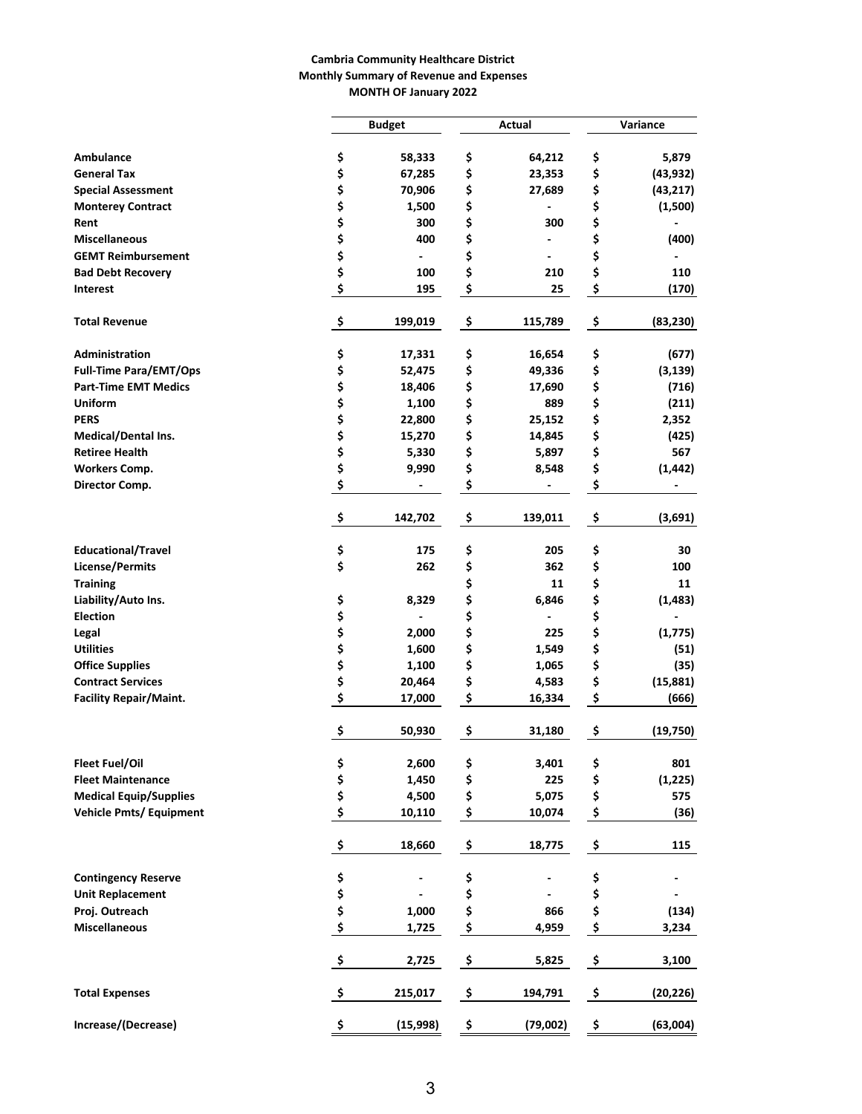#### **Cambria Community Healthcare District Monthly Summary of Revenue and Expenses MONTH OF January 2022**

|                                |                 | <b>Budget</b> | Actual                         | Variance        |
|--------------------------------|-----------------|---------------|--------------------------------|-----------------|
|                                |                 |               |                                |                 |
| Ambulance                      | \$              | 58,333        | \$<br>64,212                   | \$<br>5,879     |
| <b>General Tax</b>             | \$              | 67,285        | \$<br>23,353                   | \$<br>(43, 932) |
| <b>Special Assessment</b>      | \$              | 70,906        | \$<br>27,689                   | \$<br>(43, 217) |
| <b>Monterey Contract</b>       | \$              | 1,500         | \$                             | \$<br>(1,500)   |
| Rent                           | \$              | 300           | \$<br>300                      | \$              |
| <b>Miscellaneous</b>           | \$              | 400           | \$<br>٠                        | \$<br>(400)     |
| <b>GEMT Reimbursement</b>      | \$              |               | \$<br>$\overline{\phantom{0}}$ | \$              |
| <b>Bad Debt Recovery</b>       | \$              | 100           | \$<br>210                      | \$<br>110       |
| <b>Interest</b>                | \$              | 195           | \$<br>25                       | \$<br>(170)     |
| <b>Total Revenue</b>           | \$              | 199,019       | \$<br>115,789                  | \$<br>(83, 230) |
| Administration                 | \$              | 17,331        | \$<br>16,654                   | \$<br>(677)     |
| <b>Full-Time Para/EMT/Ops</b>  | \$              | 52,475        | \$<br>49,336                   | \$<br>(3, 139)  |
| <b>Part-Time EMT Medics</b>    | \$              | 18,406        | \$<br>17,690                   | \$<br>(716)     |
| <b>Uniform</b>                 | \$              | 1,100         | \$<br>889                      | \$<br>(211)     |
| <b>PERS</b>                    | \$              | 22,800        | \$<br>25,152                   | \$<br>2,352     |
| Medical/Dental Ins.            | \$              | 15,270        | \$<br>14,845                   | \$<br>(425)     |
| <b>Retiree Health</b>          | \$              | 5,330         | \$<br>5,897                    | \$<br>567       |
| <b>Workers Comp.</b>           | \$              | 9,990         | \$<br>8,548                    | \$<br>(1, 442)  |
| Director Comp.                 | \$              |               | \$                             | \$              |
|                                | \$              | 142,702       | \$<br>139,011                  | \$<br>(3,691)   |
| <b>Educational/Travel</b>      | \$              | 175           | \$<br>205                      | \$<br>30        |
| <b>License/Permits</b>         | \$              | 262           | \$<br>362                      | \$<br>100       |
| <b>Training</b>                |                 |               | \$<br>11                       | \$<br>11        |
| Liability/Auto Ins.            | \$              | 8,329         | \$<br>6,846                    | \$<br>(1, 483)  |
| <b>Election</b>                | \$              |               | \$                             | \$              |
| Legal                          | \$              | 2,000         | \$<br>225                      | \$<br>(1, 775)  |
| <b>Utilities</b>               | \$              | 1,600         | \$<br>1,549                    | \$<br>(51)      |
| <b>Office Supplies</b>         | \$              | 1,100         | \$<br>1,065                    | \$<br>(35)      |
| <b>Contract Services</b>       | \$              | 20,464        | \$<br>4,583                    | \$<br>(15, 881) |
| <b>Facility Repair/Maint.</b>  | \$              | 17,000        | \$<br>16,334                   | \$<br>(666)     |
|                                | \$              | 50,930        | \$<br>31,180                   | \$<br>(19,750)  |
| <b>Fleet Fuel/Oil</b>          | \$              | 2,600         | \$<br>3,401                    | \$<br>801       |
| <b>Fleet Maintenance</b>       | \$              | 1,450         | \$<br>225                      | \$<br>(1, 225)  |
| <b>Medical Equip/Supplies</b>  | \$              | 4,500         | \$<br>5,075                    | \$<br>575       |
| <b>Vehicle Pmts/ Equipment</b> | \$              | 10,110        | \$<br>10,074                   | \$<br>(36)      |
|                                | \$              | 18,660        | \$<br>18,775                   | \$<br>115       |
| <b>Contingency Reserve</b>     | \$              |               | \$                             | \$              |
| <b>Unit Replacement</b>        | \$              |               | \$                             | \$              |
| Proj. Outreach                 | \$              | 1,000         | \$<br>866                      | \$<br>(134)     |
| <b>Miscellaneous</b>           | \$              | 1,725         | \$<br>4,959                    | \$<br>3,234     |
|                                | $\ddot{\bm{s}}$ | 2,725         | \$<br>5,825                    | \$<br>3,100     |
| <b>Total Expenses</b>          | -\$             | 215,017       | \$<br>194,791                  | \$<br>(20, 226) |
| Increase/(Decrease)            | \$              | (15,998)      | \$<br>(79,002)                 | \$<br>(63,004)  |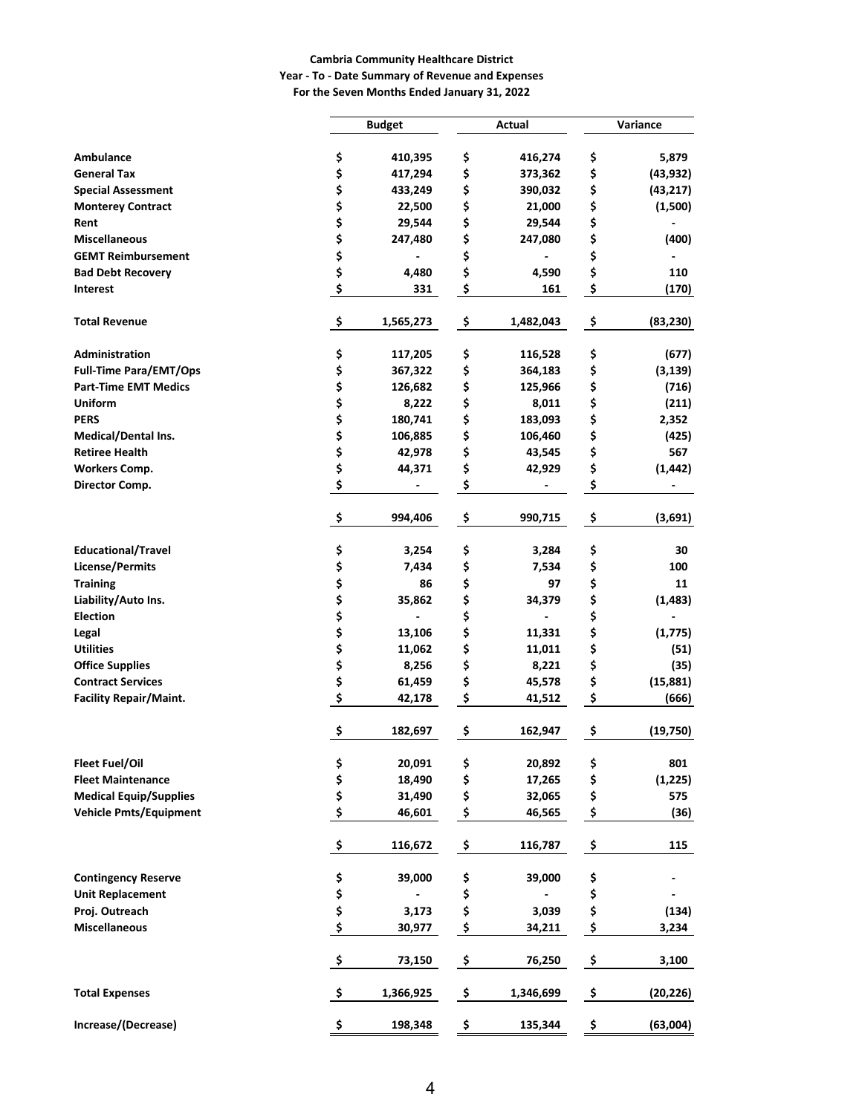#### **Cambria Community Healthcare District**

#### **Year - To - Date Summary of Revenue and Expenses For the Seven Months Ended January 31, 2022**

|                               | <b>Budget</b>   | Actual                         |               | Variance                 |
|-------------------------------|-----------------|--------------------------------|---------------|--------------------------|
| <b>Ambulance</b>              | \$<br>410,395   | \$<br>416,274                  | \$            | 5,879                    |
| <b>General Tax</b>            | \$<br>417,294   | \$<br>373,362                  | \$            | (43, 932)                |
| <b>Special Assessment</b>     | \$<br>433,249   | \$<br>390,032                  | \$            | (43, 217)                |
| <b>Monterey Contract</b>      | \$<br>22,500    | \$<br>21,000                   | \$            | (1,500)                  |
| Rent                          | \$<br>29,544    | \$<br>29,544                   | \$            |                          |
| <b>Miscellaneous</b>          | \$<br>247,480   | \$<br>247,080                  | \$            | (400)                    |
| <b>GEMT Reimbursement</b>     | \$              | \$                             | \$            |                          |
| <b>Bad Debt Recovery</b>      | \$<br>4,480     | \$<br>4,590                    | \$            | 110                      |
| Interest                      | \$<br>331       | \$<br>161                      | \$            | (170)                    |
| <b>Total Revenue</b>          | \$<br>1,565,273 | \$<br>1,482,043                | \$            | (83, 230)                |
| <b>Administration</b>         | \$<br>117,205   | \$<br>116,528                  | \$            | (677)                    |
| <b>Full-Time Para/EMT/Ops</b> | \$<br>367,322   | \$<br>364,183                  | \$            | (3, 139)                 |
| <b>Part-Time EMT Medics</b>   | \$<br>126,682   | \$<br>125,966                  | \$            | (716)                    |
| <b>Uniform</b>                | \$<br>8,222     | \$<br>8,011                    | \$            | (211)                    |
| <b>PERS</b>                   | \$<br>180,741   | \$<br>183,093                  | \$            | 2,352                    |
| Medical/Dental Ins.           | \$<br>106,885   | \$<br>106,460                  | \$            | (425)                    |
| <b>Retiree Health</b>         | \$<br>42,978    | \$<br>43,545                   | \$            | 567                      |
| <b>Workers Comp.</b>          | \$<br>44,371    | \$<br>42,929                   | \$            | (1, 442)                 |
| Director Comp.                | \$<br>۰         | \$<br>۰                        | \$            | ۰                        |
|                               | \$<br>994,406   | \$<br>990,715                  | \$            | (3,691)                  |
| <b>Educational/Travel</b>     | \$<br>3,254     | \$<br>3,284                    | \$            | 30                       |
| <b>License/Permits</b>        | \$<br>7,434     | \$<br>7,534                    | \$            | 100                      |
| <b>Training</b>               | \$<br>86        | \$<br>97                       | \$            | 11                       |
| Liability/Auto Ins.           | \$<br>35,862    | \$<br>34,379                   | \$            | (1, 483)                 |
| <b>Election</b>               | \$              | \$<br>$\overline{\phantom{a}}$ | \$            | $\overline{\phantom{a}}$ |
| Legal                         | \$<br>13,106    | \$<br>11,331                   | \$            | (1,775)                  |
| <b>Utilities</b>              | \$<br>11,062    | \$<br>11,011                   | \$            | (51)                     |
| <b>Office Supplies</b>        | \$<br>8,256     | \$<br>8,221                    | \$            | (35)                     |
| <b>Contract Services</b>      | \$<br>61,459    | \$<br>45,578                   | \$            | (15, 881)                |
| <b>Facility Repair/Maint.</b> | \$<br>42,178    | \$<br>41,512                   | \$            | (666)                    |
|                               | \$<br>182,697   | \$<br>162,947                  | \$            | (19,750)                 |
| <b>Fleet Fuel/Oil</b>         | \$<br>20,091    | \$<br>20,892                   | \$            | 801                      |
| <b>Fleet Maintenance</b>      | \$<br>18,490    | \$<br>17,265                   | \$            | (1, 225)                 |
| <b>Medical Equip/Supplies</b> | \$<br>31,490    | \$<br>32,065                   | \$            | 575                      |
| <b>Vehicle Pmts/Equipment</b> | \$<br>46,601    | \$<br>46,565                   | \$            | (36)                     |
|                               | \$<br>116,672   | \$<br>116,787                  | \$            | 115                      |
| <b>Contingency Reserve</b>    | \$<br>39,000    | \$<br>39,000                   | \$            |                          |
| <b>Unit Replacement</b>       | \$              | \$                             | \$            |                          |
| Proj. Outreach                | \$<br>3,173     | \$<br>3,039                    | \$            | (134)                    |
| <b>Miscellaneous</b>          | \$<br>30,977    | \$<br>34,211                   | \$            | 3,234                    |
|                               | \$<br>73,150    | \$<br>76,250                   | \$            | 3,100                    |
| <b>Total Expenses</b>         | \$<br>1,366,925 | \$<br>1,346,699                | \$            | (20, 226)                |
| Increase/(Decrease)           | \$<br>198,348   | \$<br>135,344                  | $\mathsf{\$}$ | (63,004)                 |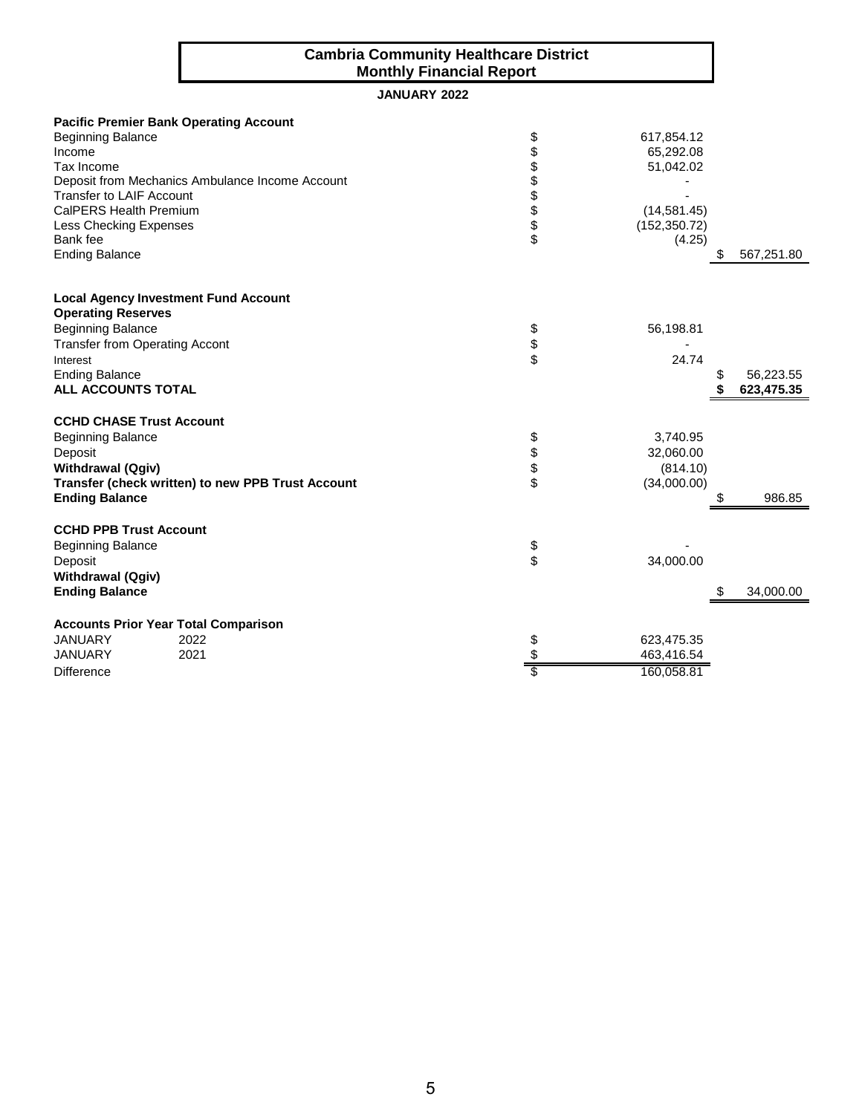#### **Cambria Community Healthcare District Monthly Financial Report**

### **JANUARY 2022**

|                                       | <b>Pacific Premier Bank Operating Account</b>     |          |               |            |
|---------------------------------------|---------------------------------------------------|----------|---------------|------------|
| <b>Beginning Balance</b>              |                                                   | \$       | 617,854.12    |            |
| Income                                |                                                   | \$       | 65,292.08     |            |
| Tax Income                            |                                                   | \$       | 51,042.02     |            |
|                                       | Deposit from Mechanics Ambulance Income Account   | \$       |               |            |
| <b>Transfer to LAIF Account</b>       |                                                   |          |               |            |
| CalPERS Health Premium                |                                                   | \$       | (14, 581.45)  |            |
| <b>Less Checking Expenses</b>         |                                                   | \$<br>\$ | (152, 350.72) |            |
| Bank fee                              |                                                   |          | (4.25)        |            |
| <b>Ending Balance</b>                 |                                                   |          | æ.            | 567,251.80 |
|                                       | <b>Local Agency Investment Fund Account</b>       |          |               |            |
| <b>Operating Reserves</b>             |                                                   |          |               |            |
| <b>Beginning Balance</b>              |                                                   | \$       | 56,198.81     |            |
| <b>Transfer from Operating Accont</b> |                                                   | \$       |               |            |
| Interest                              |                                                   | \$       | 24.74         |            |
| <b>Ending Balance</b>                 |                                                   |          |               | 56,223.55  |
| ALL ACCOUNTS TOTAL                    |                                                   |          |               | 623,475.35 |
| <b>CCHD CHASE Trust Account</b>       |                                                   |          |               |            |
| <b>Beginning Balance</b>              |                                                   | \$       | 3,740.95      |            |
| Deposit                               |                                                   | \$       | 32,060.00     |            |
| <b>Withdrawal (Qgiv)</b>              |                                                   | \$       | (814.10)      |            |
|                                       | Transfer (check written) to new PPB Trust Account | \$       | (34,000.00)   |            |
| <b>Ending Balance</b>                 |                                                   |          | S             | 986.85     |
| <b>CCHD PPB Trust Account</b>         |                                                   |          |               |            |
| <b>Beginning Balance</b>              |                                                   | \$       |               |            |
| Deposit                               |                                                   | \$       | 34,000.00     |            |
| <b>Withdrawal (Qgiv)</b>              |                                                   |          |               |            |
| <b>Ending Balance</b>                 |                                                   |          |               | 34,000.00  |
|                                       | <b>Accounts Prior Year Total Comparison</b>       |          |               |            |
| <b>JANUARY</b>                        | 2022                                              | \$       | 623,475.35    |            |
| <b>JANUARY</b>                        | 2021                                              | \$       | 463,416.54    |            |
| <b>Difference</b>                     |                                                   |          | 160,058.81    |            |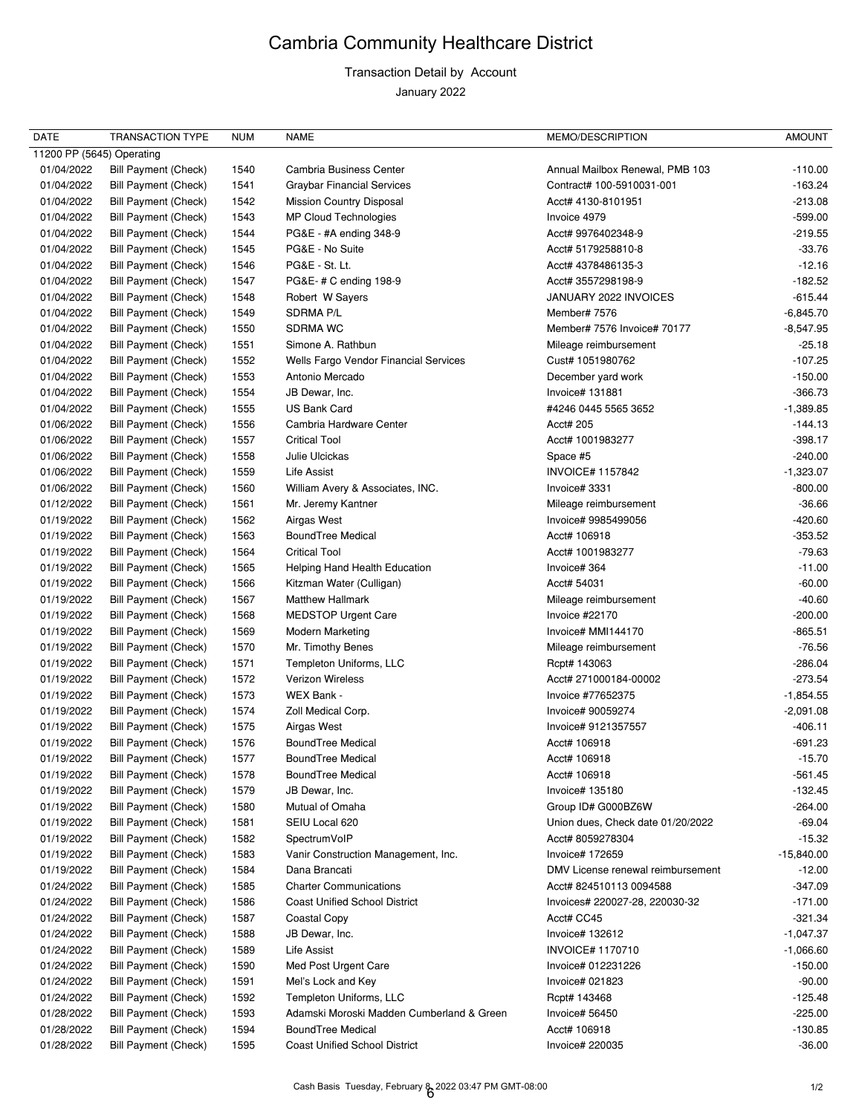# Cambria Community Healthcare District

## Transaction Detail by Account

January 2022

| <b>DATE</b>               | <b>TRANSACTION TYPE</b>     | <b>NUM</b> | <b>NAME</b>                               | MEMO/DESCRIPTION                  | <b>AMOUNT</b> |
|---------------------------|-----------------------------|------------|-------------------------------------------|-----------------------------------|---------------|
| 11200 PP (5645) Operating |                             |            |                                           |                                   |               |
| 01/04/2022                | <b>Bill Payment (Check)</b> | 1540       | <b>Cambria Business Center</b>            | Annual Mailbox Renewal, PMB 103   | $-110.00$     |
| 01/04/2022                | Bill Payment (Check)        | 1541       | <b>Graybar Financial Services</b>         | Contract# 100-5910031-001         | $-163.24$     |
| 01/04/2022                | Bill Payment (Check)        | 1542       | <b>Mission Country Disposal</b>           | Acct# 4130-8101951                | $-213.08$     |
| 01/04/2022                | <b>Bill Payment (Check)</b> | 1543       | MP Cloud Technologies                     | Invoice 4979                      | $-599.00$     |
| 01/04/2022                | Bill Payment (Check)        | 1544       | PG&E - #A ending 348-9                    | Acct# 9976402348-9                | $-219.55$     |
| 01/04/2022                | <b>Bill Payment (Check)</b> | 1545       | PG&E - No Suite                           | Acct# 5179258810-8                | $-33.76$      |
| 01/04/2022                | <b>Bill Payment (Check)</b> | 1546       | PG&E - St. Lt.                            | Acct# 4378486135-3                | $-12.16$      |
| 01/04/2022                | Bill Payment (Check)        | 1547       | PG&E-#C ending 198-9                      | Acct# 3557298198-9                | $-182.52$     |
| 01/04/2022                | Bill Payment (Check)        | 1548       | Robert W Sayers                           | JANUARY 2022 INVOICES             | $-615.44$     |
| 01/04/2022                | Bill Payment (Check)        | 1549       | SDRMA P/L                                 | Member# 7576                      | $-6,845.70$   |
| 01/04/2022                | <b>Bill Payment (Check)</b> | 1550       | <b>SDRMA WC</b>                           | Member# 7576 Invoice# 70177       | $-8,547.95$   |
| 01/04/2022                | Bill Payment (Check)        | 1551       | Simone A. Rathbun                         | Mileage reimbursement             | $-25.18$      |
| 01/04/2022                | <b>Bill Payment (Check)</b> | 1552       | Wells Fargo Vendor Financial Services     | Cust# 1051980762                  | $-107.25$     |
| 01/04/2022                | Bill Payment (Check)        | 1553       | Antonio Mercado                           | December yard work                | $-150.00$     |
| 01/04/2022                | Bill Payment (Check)        | 1554       | JB Dewar, Inc.                            | Invoice# 131881                   | $-366.73$     |
| 01/04/2022                | <b>Bill Payment (Check)</b> | 1555       | <b>US Bank Card</b>                       | #4246 0445 5565 3652              | $-1,389.85$   |
| 01/06/2022                | <b>Bill Payment (Check)</b> | 1556       | Cambria Hardware Center                   | Acct# 205                         | $-144.13$     |
| 01/06/2022                | <b>Bill Payment (Check)</b> | 1557       | <b>Critical Tool</b>                      | Acct# 1001983277                  | $-398.17$     |
| 01/06/2022                | Bill Payment (Check)        | 1558       | Julie Ulcickas                            | Space #5                          | $-240.00$     |
| 01/06/2022                | Bill Payment (Check)        | 1559       | <b>Life Assist</b>                        | <b>INVOICE# 1157842</b>           | $-1,323.07$   |
| 01/06/2022                | Bill Payment (Check)        | 1560       | William Avery & Associates, INC.          | Invoice# 3331                     | $-800.00$     |
| 01/12/2022                | Bill Payment (Check)        | 1561       | Mr. Jeremy Kantner                        | Mileage reimbursement             | $-36.66$      |
| 01/19/2022                | <b>Bill Payment (Check)</b> | 1562       | Airgas West                               | Invoice# 9985499056               | $-420.60$     |
| 01/19/2022                | Bill Payment (Check)        | 1563       | <b>BoundTree Medical</b>                  | Acct# 106918                      | $-353.52$     |
| 01/19/2022                | Bill Payment (Check)        | 1564       | <b>Critical Tool</b>                      | Acct# 1001983277                  | $-79.63$      |
| 01/19/2022                |                             |            |                                           | Invoice# 364                      | $-11.00$      |
|                           | Bill Payment (Check)        | 1565       | Helping Hand Health Education             |                                   |               |
| 01/19/2022                | <b>Bill Payment (Check)</b> | 1566       | Kitzman Water (Culligan)                  | Acct# 54031                       | $-60.00$      |
| 01/19/2022                | Bill Payment (Check)        | 1567       | <b>Matthew Hallmark</b>                   | Mileage reimbursement             | $-40.60$      |
| 01/19/2022                | Bill Payment (Check)        | 1568       | <b>MEDSTOP Urgent Care</b>                | Invoice #22170                    | $-200.00$     |
| 01/19/2022                | <b>Bill Payment (Check)</b> | 1569       | <b>Modern Marketing</b>                   | Invoice# MMI144170                | $-865.51$     |
| 01/19/2022                | <b>Bill Payment (Check)</b> | 1570       | Mr. Timothy Benes                         | Mileage reimbursement             | -76.56        |
| 01/19/2022                | Bill Payment (Check)        | 1571       | Templeton Uniforms, LLC                   | Rcpt# 143063                      | -286.04       |
| 01/19/2022                | Bill Payment (Check)        | 1572       | Verizon Wireless                          | Acct# 271000184-00002             | $-273.54$     |
| 01/19/2022                | <b>Bill Payment (Check)</b> | 1573       | WEX Bank -                                | Invoice #77652375                 | $-1,854.55$   |
| 01/19/2022                | <b>Bill Payment (Check)</b> | 1574       | Zoll Medical Corp.                        | Invoice# 90059274                 | $-2,091.08$   |
| 01/19/2022                | Bill Payment (Check)        | 1575       | Airgas West                               | Invoice# 9121357557               | $-406.11$     |
| 01/19/2022                | Bill Payment (Check)        | 1576       | <b>BoundTree Medical</b>                  | Acct# 106918                      | $-691.23$     |
| 01/19/2022                | <b>Bill Payment (Check)</b> | 1577       | <b>BoundTree Medical</b>                  | Acct# 106918                      | $-15.70$      |
| 01/19/2022                | Bill Payment (Check)        | 1578       | <b>BoundTree Medical</b>                  | Acct# 106918                      | $-561.45$     |
| 01/19/2022                | Bill Payment (Check)        | 1579       | JB Dewar, Inc.                            | Invoice# 135180                   | $-132.45$     |
| 01/19/2022                | Bill Payment (Check)        | 1580       | Mutual of Omaha                           | Group ID# G000BZ6W                | $-264.00$     |
| 01/19/2022                | Bill Payment (Check)        | 1581       | SEIU Local 620                            | Union dues, Check date 01/20/2022 | $-69.04$      |
| 01/19/2022                | Bill Payment (Check)        | 1582       | SpectrumVoIP                              | Acct# 8059278304                  | $-15.32$      |
| 01/19/2022                | <b>Bill Payment (Check)</b> | 1583       | Vanir Construction Management, Inc.       | Invoice# 172659                   | $-15,840.00$  |
| 01/19/2022                | Bill Payment (Check)        | 1584       | Dana Brancati                             | DMV License renewal reimbursement | $-12.00$      |
| 01/24/2022                | Bill Payment (Check)        | 1585       | <b>Charter Communications</b>             | Acct# 824510113 0094588           | $-347.09$     |
| 01/24/2022                | <b>Bill Payment (Check)</b> | 1586       | <b>Coast Unified School District</b>      | Invoices# 220027-28, 220030-32    | $-171.00$     |
| 01/24/2022                | Bill Payment (Check)        | 1587       | Coastal Copy                              | Acct# CC45                        | $-321.34$     |
| 01/24/2022                | <b>Bill Payment (Check)</b> | 1588       | JB Dewar, Inc.                            | Invoice# 132612                   | $-1,047.37$   |
| 01/24/2022                | Bill Payment (Check)        | 1589       | <b>Life Assist</b>                        | <b>INVOICE# 1170710</b>           | $-1,066.60$   |
| 01/24/2022                | Bill Payment (Check)        | 1590       | Med Post Urgent Care                      | Invoice# 012231226                | $-150.00$     |
| 01/24/2022                | Bill Payment (Check)        | 1591       | Mel's Lock and Key                        | Invoice# 021823                   | $-90.00$      |
| 01/24/2022                | Bill Payment (Check)        | 1592       | Templeton Uniforms, LLC                   | Rcpt# 143468                      | $-125.48$     |
| 01/28/2022                | <b>Bill Payment (Check)</b> | 1593       | Adamski Moroski Madden Cumberland & Green | Invoice# 56450                    | $-225.00$     |
| 01/28/2022                | Bill Payment (Check)        | 1594       | <b>BoundTree Medical</b>                  | Acct# 106918                      | $-130.85$     |
| 01/28/2022                | <b>Bill Payment (Check)</b> | 1595       | <b>Coast Unified School District</b>      | Invoice# 220035                   | $-36.00$      |